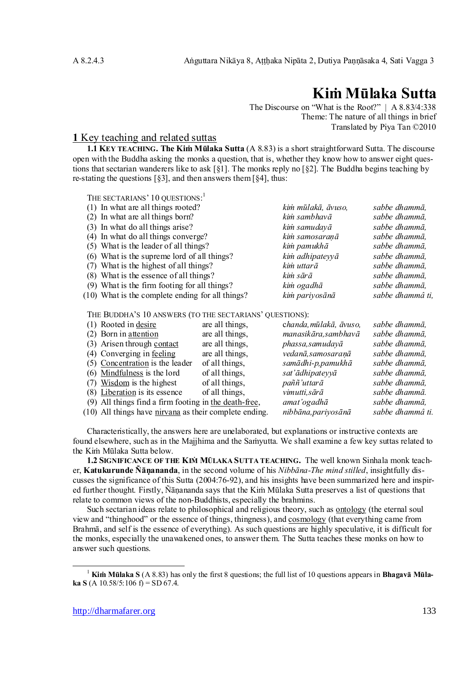# **Kiṁ Mūlaka Sutta**

The Discourse on "What is the Root?" | A 8.83/4:338 Theme: The nature of all things in brief Translated by Piya Tan ©2010

## **1** Key teaching and related suttas

**1.1 KEY TEACHING. The Kiṁ Mūlaka Sutta** (A 8.83) is a short straightforward Sutta. The discourse open with the Buddha asking the monks a question, that is, whether they know how to answer eight questions that sectarian wanderers like to ask [§1]. The monks reply no [§2]. The Buddha begins teaching by re-stating the questions  $\lceil \xi \cdot 3 \rceil$ , and then answers them  $\lceil \xi \cdot 4 \rceil$ , thus:

THE SECTARIANS' 10 QUESTIONS:<sup>1</sup>

| (1) In what are all things rooted?               | kim mūlakā, āvuso, | sabbe dhammā,    |
|--------------------------------------------------|--------------------|------------------|
| (2) In what are all things born?                 | kim sambhavā       | sabbe dhammā,    |
| (3) In what do all things arise?                 | kim samudayā       | sabbe dhammā,    |
| (4) In what do all things converge?              | kim samosaranā     | sabbe dhammā,    |
| (5) What is the leader of all things?            | kim pamukhā        | sabbe dhammā,    |
| (6) What is the supreme lord of all things?      | kim adhipateyyā    | sabbe dhammā.    |
| (7) What is the highest of all things?           | kim uttarā         | sabbe dhammā,    |
| (8) What is the essence of all things?           | kim sārā           | sabbe dhammā.    |
| (9) What is the firm footing for all things?     | kim ogadhā         | sabbe dhammā,    |
| (10) What is the complete ending for all things? | kim pariyosānā     | sabbe dhammâ ti, |

#### THE BUDDHA'S 10 ANSWERS (TO THE SECTARIANS' QUESTIONS):

| (1) Rooted in desire                                   | are all things, | chanda, mūlakā, āvuso, | sabbe dhammā,    |
|--------------------------------------------------------|-----------------|------------------------|------------------|
| $(2)$ Born in attention                                | are all things, | manasikāra, sambhavā   | sabbe dhammā,    |
| (3) Arisen through contact                             | are all things, | phassa, samudayā       | sabbe dhammā,    |
| (4) Converging in feeling                              | are all things, | vedanā, samosaranā     | sabbe dhammā,    |
| (5) Concentration is the leader                        | of all things,  | samādhi-p, pamukhā     | sabbe dhammā,    |
| $(6)$ Mindfulness is the lord                          | of all things,  | sat'ādhipateyyā        | sabbe dhammā,    |
| (7) Wisdom is the highest                              | of all things,  | paññ'uttarā            | sabbe dhammā,    |
| (8) Liberation is its essence                          | of all things,  | vimutti, sārā          | sabbe dhammā.    |
| (9) All things find a firm footing in the death-free,  |                 | amat'ogadhā            | sabbe dhammā,    |
| (10) All things have nirvana as their complete ending. |                 | nibbāna, pariyosānā    | sabbe dhammâ ti. |

Characteristically, the answers here are unelaborated, but explanations or instructive contexts are found elsewhere, such as in the Majjhima and the Samyutta. We shall examine a few key suttas related to the Kiṁ Mūlaka Sutta below.

**1.2 SIGNIFICANCE OF THE KIṀ MŪLAKA SUTTA TEACHING.** The well known Sinhala monk teacher, **Katukurunde Ñāṇananda**, in the second volume of his *Nibbāna-The mind stilled*, insightfully discusses the significance of this Sutta (2004:76-92), and his insights have been summarized here and inspired further thought. Firstly, Ñāṇananda says that the Kiṁ Mūlaka Sutta preserves a list of questions that relate to common views of the non-Buddhists, especially the brahmins.

Such sectarian ideas relate to philosophical and religious theory, such as ontology (the eternal soul view and "thinghood" or the essence of things, thingness), and cosmology (that everything came from Brahmā, and self is the essence of everything). As such questions are highly speculative, it is difficult for the monks, especially the unawakened ones, to answer them. The Sutta teaches these monks on how to answer such questions.

<sup>1</sup> **Kiṁ Mūlaka S** (A 8.83) has only the first 8 questions; the full list of 10 questions appears in **Bhagavā Mūlaka S** (A 10.58/5:106 f) = SD 67.4.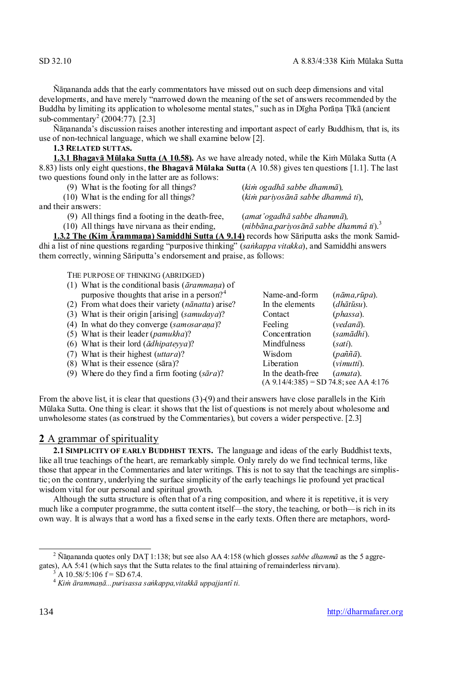Ñāṇananda adds that the early commentators have missed out on such deep dimensions and vital developments, and have merely "narrowed down the meaning of the set of answers recommended by the Buddha by limiting its application to wholesome mental states," such as in Dīgha Porāṇa Ṭīkā (ancient sub-commentary<sup>2</sup> (2004:77). [2.3]

Ñāṇananda's discussion raises another interesting and important aspect of early Buddhism, that is, its use of non-technical language, which we shall examine below [2].

**1.3 RELATED SUTTAS.**

**1.3.1 Bhagavā Mūlaka Sutta (A 10.58).** As we have already noted, while the Kiṁ Mūlaka Sutta (A 8.83) lists only eight questions, **the Bhagavā Mūlaka Sutta** (A 10.58) gives ten questions [1.1]. The last two questions found only in the latter are as follows:

(9) What is the footing for all things? (*kiṁ ogadhā sabbe dhammā*)*,*

(10) What is the ending for all things? (*kiṁ pariyosānā sabbe dhammâ ti*),

and their answers:

(9) All things find a footing in the death-free, (*amat'ogadhā sabbe dhammā*)*,*

(10) All things have nirvana as their ending, (*nibbāna,pariyosānā sabbe dhammâ ti*).<sup>3</sup>

**1.3.2 The (Kim Ārammaṇa) Samiddhi Sutta (A 9.14)** records how Sāriputta asks the monk Samiddhi a list of nine questions regarding "purposive thinking" (*saṅkappa vitakka*), and Samiddhi answers them correctly, winning Sāriputta's endorsement and praise, as follows:

THE PURPOSE OF THINKING (ABRIDGED)

- (1) What is the conditional basis (*ārammaṇa*) of purposive thoughts that arise in a person?<sup>4</sup>
- (2) From what does their variety (*nānatta*) arise?
- (3) What is their origin [arising]  $(samudaya)$ ?
- (4) In what do they converge (*samosarana*)?
- (5) What is their leader (*pamukha*)?
- (6) What is their lord  $(\bar{a}dhipateyya)$ ?
- (7) What is their highest (*uttara*)? Wisdom (*paññā*).
- (8) What is their essence (sāra)?
- (9) Where do they find a firm footing  $(s\bar{a}ra)$ ?

| Name-and-form                             | (nāma,rūpa).               |
|-------------------------------------------|----------------------------|
| In the elements                           | (dhātūsu).                 |
| Contact                                   | (phassa).                  |
| Feeling                                   | $(\nu e dan\bar{a})$ .     |
| Concentration                             | (samādhi).                 |
| Mindfulness                               | $(sati)$ .                 |
| Wisdom                                    | $(pa\tilde{n}\tilde{a}$ ). |
| Liberation                                | $(vimutti)$ .              |
| In the death-free                         | $(amata)$ .                |
| $(A 9.14/4:385) = SD 74.8$ ; see AA 4:176 |                            |

From the above list, it is clear that questions  $(3)$ - $(9)$  and their answers have close parallels in the Kim Mūlaka Sutta. One thing is clear: it shows that the list of questions is not merely about wholesome and unwholesome states (as construed by the Commentaries), but covers a wider perspective. [2.3]

### **2** A grammar of spirituality

**2.1 SIMPLICITY OF EARLY BUDDHIST TEXTS.** The language and ideas of the early Buddhist texts, like all true teachings of the heart, are remarkably simple. Only rarely do we find technical terms, like those that appear in the Commentaries and later writings. This is not to say that the teachings are simplistic; on the contrary, underlying the surface simplicity of the early teachings lie profound yet practical wisdom vital for our personal and spiritual growth.

Although the sutta structure is often that of a ring composition, and where it is repetitive, it is very much like a computer programme, the sutta content itself—the story, the teaching, or both—is rich in its own way. It is always that a word has a fixed sense in the early texts. Often there are metaphors, word-

<sup>2</sup> Ñāṇananda quotes only DAṬ 1:138; but see also AA 4:158 (which glosses *sabbe dhammā* as the 5 aggregates), AA 5:41 (which says that the Sutta relates to the final attaining of remainderless nirvana).

 $3 \text{ A}$  10.58/5:106 f = SD 67.4.

<sup>4</sup> *Kiṁ ārammaṇā...purisassa saṅkappa,vitakkā uppajjantî ti.*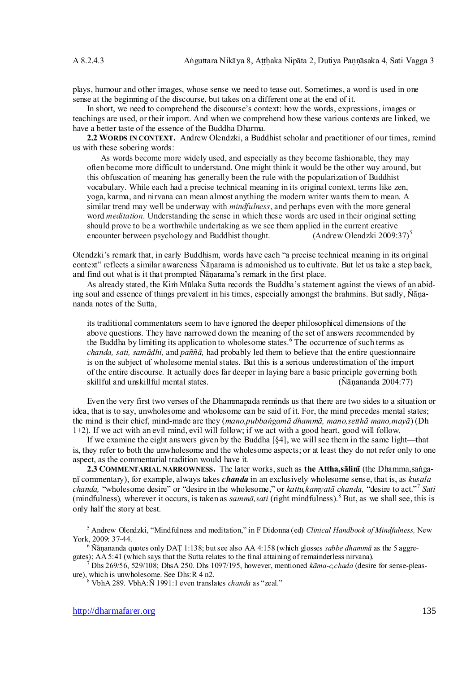plays, humour and other images, whose sense we need to tease out. Sometimes, a word is used in one sense at the beginning of the discourse, but takes on a different one at the end of it.

In short, we need to comprehend the discourse's context: how the words, expressions, images or teachings are used, or their import. And when we comprehend how these various contexts are linked, we have a better taste of the essence of the Buddha Dharma.

**2.2 WORDS IN CONTEXT.** Andrew Olendzki, a Buddhist scholar and practitioner of our times, remind us with these sobering words:

As words become more widely used, and especially as they become fashionable, they may often become more difficult to understand. One might think it would be the other way around, but this obfuscation of meaning has generally been the rule with the popularization of Buddhist vocabulary. While each had a precise technical meaning in its original context, terms like zen, yoga, karma, and nirvana can mean almost anything the modern writer wants them to mean. A similar trend may well be underway with *mindfulness*, and perhaps even with the more general word *meditation*. Understanding the sense in which these words are used in their original setting should prove to be a worthwhile undertaking as we see them applied in the current creative encounter between psychology and Buddhist thought. (Andrew Olendzki 2009:37)<sup>5</sup>

Olendzki's remark that, in early Buddhism, words have each "a precise technical meaning in its original context" reflects a similar awareness Ñāṇarama is admonished us to cultivate. But let us take a step back, and find out what is it that prompted Ñāṇarama's remark in the first place.

As already stated, the Kiṁ Mūlaka Sutta records the Buddha's statement against the views of an abiding soul and essence of things prevalent in his times, especially amongst the brahmins. But sadly, Ñāṇananda notes of the Sutta,

its traditional commentators seem to have ignored the deeper philosophical dimensions of the above questions. They have narrowed down the meaning of the set of answers recommended by the Buddha by limiting its application to wholesome states.<sup>6</sup> The occurrence of such terms as *chanda, sati, samādhi,* and *paññā,* had probably led them to believe that the entire questionnaire is on the subject of wholesome mental states. But this is a serious underestimation of the import of the entire discourse. It actually does far deeper in laying bare a basic principle governing both skillful and unskillful mental states. (Ñāṇananda 2004:77)

Even the very first two verses of the Dhammapada reminds us that there are two sides to a situation or idea, that is to say, unwholesome and wholesome can be said of it. For, the mind precedes mental states; the mind is their chief, mind-made are they (*mano,pubbaṅgamā dhammā, mano,setthā mano,mayā*) (Dh 1+2). If we act with an evil mind, evil will follow; if we act with a good heart, good will follow.

If we examine the eight answers given by the Buddha [§4], we will see them in the same light—that is, they refer to both the unwholesome and the wholesome aspects; or at least they do not refer only to one aspect, as the commentarial tradition would have it.

**2.3 COMMENTARIAL NARROWNESS.** The later works, such as **the Attha,sālinī** (the Dhamma,saṅgaṇī commentary), for example, always takes *chanda* in an exclusively wholesome sense, that is, as *kusala chanda,* "wholesome desire" or "desire in the wholesome," or *kattu,kamyatā chanda,* "desire to act."<sup>7</sup> *Sati* (mindfulness)*,* wherever it occurs, is taken as *sammā,sati* (right mindfulness).<sup>8</sup> But, as we shall see, this is only half the story at best.

<sup>5</sup> Andrew Olendzki, "Mindfulness and meditation," in F Didonna (ed) *Clinical Handbook of Mindfulness,* New York, 2009: 37-44.

<sup>6</sup> Ñāṇananda quotes only DAṬ 1:138; butsee also AA 4:158 (which glosses *sabbe dhammā* as the 5 aggregates); AA 5:41 (which says that the Sutta relates to the final attaining of remainderless nirvana).

<sup>7</sup> Dhs 269/56, 529/108; DhsA 250. Dhs 1097/195, however, mentioned *kāma-c,chada* (desire for sense-pleasure), which is unwholesome. See Dhs:R 4 n2.

<sup>8</sup> VbhA 289. VbhA:Ñ 1991:1 even translates *chanda* as "zeal."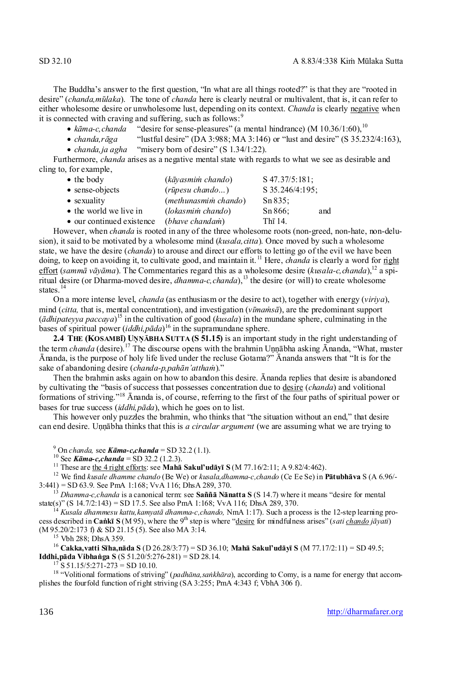The Buddha's answer to the first question, "In what are all things rooted?" is that they are "rooted in desire" (*chanda,mūlaka*). The tone of *chanda* here is clearly neutral or multivalent, that is, it can refer to either wholesome desire or unwholesome lust, depending on its context. *Chanda* is clearly negative when it is connected with craving and suffering, such as follows: $9$ 

•  $k\bar{a}$ *ma-c,chanda* "desire for sense-pleasures" (a mental hindrance) (M 10.36/1:60),<sup>10</sup>

*chanda,rāga* "lustful desire" (DA 3:988; MA 3:146) or "lust and desire" (S 35.232/4:163),

• *chanda, ja agha* "misery born of desire" (S 1.34/1:22).

Furthermore, *chanda* arises as a negative mental state with regards to what we see as desirable and cling to, for example,

| $\bullet$ the body        | (kāyasmim chando)       | $S$ 47.37/5:181; |     |
|---------------------------|-------------------------|------------------|-----|
| $\bullet$ sense-objects   | $(r\bar{u}pesu chando)$ | S 35.246/4:195;  |     |
| • sexuality               | (methunasmim chando)    | $Sn 835$ ;       |     |
| • the world we live in    | (lokasmim chando)       | Sn 866;          | and |
| • our continued existence | <i>(bhave chandam)</i>  | Th $\bar{1}$ 14. |     |

However, when *chanda* is rooted in any of the three wholesome roots (non-greed, non-hate, non-delusion), it said to be motivated by a wholesome mind (*kusala,citta*). Once moved by such a wholesome state, we have the desire (*chanda*) to arouse and direct our efforts to letting go of the evil we have been doing, to keep on avoiding it, to cultivate good, and maintain it. <sup>11</sup> Here, *chanda* is clearly a word for right effort (*sammā vāyāma*). The Commentaries regard this as a wholesome desire (*kusala-c, chanda*),<sup>12</sup> a spiritual desire (or Dharma-moved desire, *dhamma-c, chanda*),<sup>13</sup> the desire (or will) to create wholesome states.<sup>14</sup>

On a more intense level, *chanda* (as enthusiasm or the desire to act), together with energy (*viriya*), mind (*citta,* that is, mental concentration), and investigation (*vīmaṁsā*), are the predominant support (*ādhipateyya paccaya*) <sup>15</sup> in the cultivation of good (*kusala*) in the mundane sphere, culminating in the bases of spiritual power (*iddhi,pāda*) <sup>16</sup> in the supramundane sphere.

**2.4 THE (KOSAMBĪ) UṆṆĀBHA SUTTA (S 51.15)** is an important study in the right understanding of the term *chanda* (desire).<sup>17</sup> The discourse opens with the brahmin Uṇṇābha asking Ānanda, "What, master Ānanda, is the purpose of holy life lived under the recluse Gotama?" Ānanda answers that "It is for the sake of abandoning desire (*chanda-p,pahān'atthaṁ*)."

Then the brahmin asks again on how to abandon this desire. Ānanda replies that desire is abandoned by cultivating the "basis of success that possesses concentration due to desire (*chanda*) and volitional formations of striving."<sup>18</sup> Ānanda is, of course, referring to the first of the four paths of spiritual power or bases for true success (*iddhi,pāda*), which he goes on to list.

This however only puzzles the brahmin, who thinks that "the situation without an end," that desire can end desire. Unnābha thinks that this is *a circular argument* (we are assuming what we are trying to

 $9^9$  On *chanda*, see *Kāma-c,chanda* = SD 32.2 (1.1).

<sup>10</sup> See *Kāma-c,chanda* = SD 32.2 (1.2.3).

<sup>11</sup> These are the 4 right efforts: see **Mahā Sakul'udāyī S** (M 77.16/2:11; A 9.82/4:462).

<sup>12</sup> We find *kusale dhamme chando* (Be We) or *kusala,dhamma-c,chando* (Ce Ee Se) in **Pātubhāva** S (A 6.96/-  $3:441$ ) = SD 63.9. See PmA 1:168; VvA 116; DhsA 289, 370.

<sup>13</sup> *Dhamma-c,chanda* is a canonical term: see **Saññā Nānatta S** (S 14.7) where it means "desire for mental state(s)" (S 14.7/2:143) = SD 17.5. See also PmA 1:168; VvA 116; DhsA 289, 370.

<sup>14</sup> *Kusala dhammesu kattu,kamyatā dhamma-c,chando,* NmA 1:17). Such a process is the 12-step learning process described in **Caṅkī S** (M 95), where the 9th step is where "desire for mindfulness arises" (*sati chando jāyati*) (M 95.20/2:173 f) & SD 21.15 (5). See also MA 3:14.

<sup>15</sup> Vbh 288; DhsA 359.

<sup>16</sup> **Cakka,vatti Sīha,nāda S** (D 26.28/3:77) = SD 36.10; **Mahā Sakul'udāyī S** (M 77.17/2:11) = SD 49.5; **Iddhi,pāda Vibhaṅga S** (S 51.20/5:276-281) = SD 28.14.

 $17$  S 51.15/5:271-273 = SD 10.10.

<sup>18</sup> "Volitional formations of striving" (*padhna,sakhra*), according to Comy, is a name for energy that accomplishes the fourfold function of right striving (SA 3:255; PmA 4:343 f; VbhA 306 f).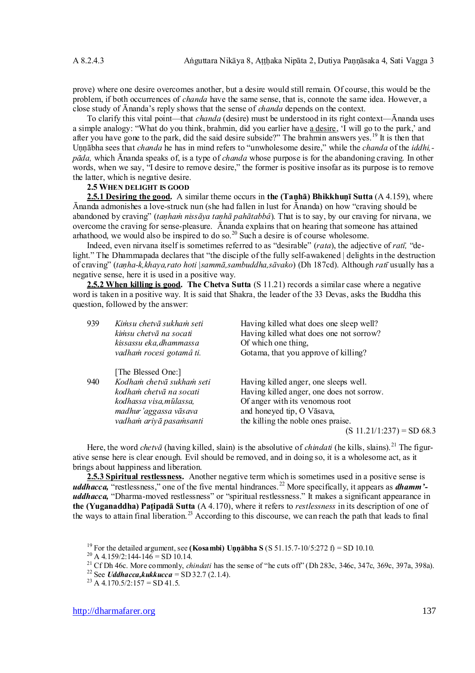prove) where one desire overcomes another, but a desire would still remain. Of course, this would be the problem, if both occurrences of *chanda* have the same sense, that is, connote the same idea. However, a close study of Ānanda's reply shows that the sense of *chanda* depends on the context.

To clarify this vital point—that *chanda* (desire) must be understood in its right context—Ānanda uses a simple analogy: "What do you think, brahmin, did you earlier have a desire, 'I will go to the park,' and after you have gone to the park, did the said desire subside?" The brahmin answers yes.<sup>19</sup> It is then that Uṇṇābha sees that *chanda* he has in mind refers to "unwholesome desire," while the *chanda* of the *iddhi, pāda,* which Ānanda speaks of, is a type of *chanda* whose purpose is for the abandoning craving. In other words, when we say, "I desire to remove desire," the former is positive insofar as its purpose is to remove the latter, which is negative desire.

#### **2.5 WHEN DELIGHT IS GOOD**

**2.5.1 Desiring the good.** A similar theme occurs in **the (Taṇhā) Bhikkhuṇī Sutta** (A 4.159), where Ānanda admonishes a love-struck nun (she had fallen in lust for Ānanda) on how "craving should be abandoned by craving" (*taṇhaṁ nissāya taṇhā pahātabbâ*). That is to say, by our craving for nirvana, we overcome the craving for sense-pleasure. Ānanda explains that on hearing that someone has attained arhathood, we would also be inspired to do so.<sup>20</sup> Such a desire is of course wholesome.

Indeed, even nirvana itself is sometimes referred to as "desirable" (*rata*), the adjective of *ratī,* "delight." The Dhammapada declares that "the disciple of the fully self-awakened | delights in the destruction of craving" (*taṇha-k,khaya,rato hoti |sammā,sambuddha,sāvako*) (Dh 187cd). Although *ratī* usually has a negative sense, here it is used in a positive way.

**2.5.2 When killing is good. The Chetva Sutta** (S 11.21) records a similar case where a negative word is taken in a positive way. It is said that Shakra, the leader of the 33 Devas, asks the Buddha this question, followed by the answer:

| 939 | Kimsu chetvā sukham seti<br>kimsu chetvā na socati  | Having killed what does one sleep well?<br>Having killed what does one not sorrow? |
|-----|-----------------------------------------------------|------------------------------------------------------------------------------------|
|     | kissassu eka, dhammassa<br>vadham rocesi gotamâ ti. | Of which one thing,<br>Gotama, that you approve of killing?                        |
|     |                                                     |                                                                                    |
|     | [The Blessed One:]                                  |                                                                                    |
| 940 | Kodham chetvā sukham seti                           | Having killed anger, one sleeps well.                                              |
|     | kodham chetvā na socati                             | Having killed anger, one does not sorrow.                                          |
|     | kodhassa visa, mūlassa,                             | Of anger with its venomous root                                                    |
|     | madhur'aggassa vāsava                               | and honeyed tip, O Vāsava,                                                         |
|     | vadham ariyā pasamsanti                             | the killing the noble ones praise.                                                 |
|     |                                                     | $(S 11.21/1:237) = SD 68.3$                                                        |

Here, the word *chetva* (having killed, slain) is the absolutive of *chindati* (he kills, slains).<sup>21</sup> The figurative sense here is clear enough. Evil should be removed, and in doing so, it is a wholesome act, as it brings about happiness and liberation.

**2.5.3 Spiritual restlessness.** Another negative term which is sometimes used in a positive sense is *uddhacca*, "restlessness," one of the five mental hindrances.<sup>22</sup> More specifically, it appears as *dhamm'uddhacca,* "Dharma-moved restlessness" or "spiritual restlessness." It makes a significant appearance in **the (Yuganaddha) Paṭipadā Sutta** (A 4.170), where it refers to *restlessness* in its description of one of the ways to attain final liberation.<sup>23</sup> According to this discourse, we can reach the path that leads to final

<sup>19</sup> For the detailed argument, see **(Kosambi) Uṇṇābha S** (S 51.15.7-10/5:272 f) = SD 10.10.

 $^{20}$  A 4.159/2:144-146 = SD 10.14.

<sup>21</sup> Cf Dh 46c. More commonly, *chindati* has the sense of "he cuts off" (Dh 283c, 346c, 347c, 369c, 397a, 398a).

<sup>&</sup>lt;sup>22</sup> See *Uddhacca,kukkucca* = SD 32.7 (2.1.4).

 $^{23}$  A 4.170.5/2:157 = SD 41.5.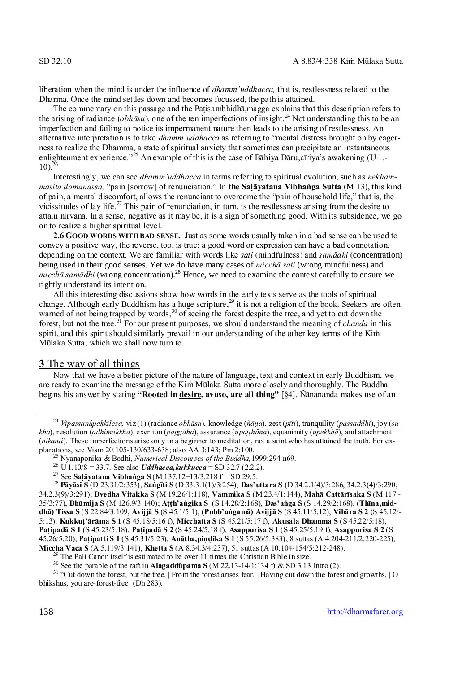liberation when the mind is under the influence of *dhamm'uddhacca*, that is, restlessness related to the Dharma. Once the mind settles down and becomes focussed, the path is attained.

The commentary on this passage and the Paṭisambhidhā,magga explains that this description refers to the arising of radiance (*obhāsa*), one of the ten imperfections of insight.<sup>24</sup> Not understanding this to be an imperfection and failing to notice its impermanent nature then leads to the arising of restlessness. An alternative interpretation is to take *dhamm'uddhacca* as referring to "mental distress brought on by eagerness to realize the Dhamma, a state of spiritual anxiety that sometimes can precipitate an instantaneous enlightenment experience."<sup>25</sup> An example of this is the case of Bahiya Daru,cīriya's awakening (U 1.- $10$ ).

Interestingly, we can see *dhamm'uddhacca* in terms referring to spiritual evolution, such as *nekhammasita domanassa,* "pain [sorrow] of renunciation." In **the Saḷāyatana Vibhaṅga Sutta** (M 13), this kind of pain, a mental discomfort, allows the renunciant to overcome the "pain of household life," that is, the vicissitudes of lay life.<sup>27</sup> This pain of renunciation, in turn, is the restlessness arising from the desire to attain nirvana. In a sense, negative as it may be, it is a sign of something good. With its subsidence, we go on to realize a higher spiritual level.

**2.6 GOOD WORDS WITH BAD SENSE.** Just as some words usually taken in a bad sense can be used to convey a positive way, the reverse, too, is true: a good word or expression can have a bad connotation, depending on the context. We are familiar with words like *sati* (mindfulness) and *samādhi* (concentration) being used in their good senses. Yet we do have many cases of *micchā sati* (wrong mindfulness) and *micchā samādhi* (wrong concentration).<sup>28</sup> Hence, we need to examine the context carefully to ensure we rightly understand its intention.

All this interesting discussions show how words in the early texts serve as the tools of spiritual change. Although early Buddhism has a huge scripture, $^{29}$  it is not a religion of the book. Seekers are often warned of not being trapped by words,<sup>30</sup> of seeing the forest despite the tree, and yet to cut down the forest, but not the tree.<sup>31</sup> For our present purposes, we should understand the meaning of *chanda* in this spirit, and this spirit should similarly prevail in our understanding of the other key terms of the Kim Mūlaka Sutta, which we shall now turn to.

#### **3** The way of all things

Now that we have a better picture of the nature of language, text and context in early Buddhism, we are ready to examine the message of the Kiṁ Mūlaka Sutta more closely and thoroughly. The Buddha begins his answer by stating **"Rooted in desire, avuso, are all thing"** [§4]. Ñāṇananda makes use of an

<sup>29</sup> The Pali Canon itself is estimated to be over 11 times the Christian Bible in size.

<sup>24</sup> *Vipassanûpakkilesa,* viz (1) (radiance *obhāsa*), knowledge (*ñāṇa*), zest (*pīti*), tranquility (*passaddhi*), joy (*sukha*), resolution (*adhimokkha*), exertion (*paggaha*), assurance (*upaṭṭhāna*), equanimity (*upekkhā*), and attachment (*nikanti*). These imperfections arise only in a beginner to meditation, not a saint who has attained the truth. For explanations, see Vism 20.105-130/633-638; also AA 3:143; Pm 2:100.

<sup>25</sup> Nyanaponika & Bodhi, *Numerical Discourses of the Buddha,*1999:294 n69.

<sup>&</sup>lt;sup>26</sup> U 1.10/8 = 33.7. See also *Uddhacca, kukkucca* = SD 32.7 (2.2.2).

<sup>27</sup> See **Saḷāyatana Vibhaṅga S** (M 137.12+13/3:218 f = SD 29.5.

<sup>28</sup> **Pāyāsi S** (D 23.31/2:353), **Saṅgīti S** (D 33.3.1(1)/3:254), **Das'uttara S** (D 34.2.1(4)/3:286, 34.2.3(4)/3:290, 34.2.3(9)/3:291); **Dvedha Vitakka S** (M 19.26/1:118), **Vammika S** (M 23.4/1:144), **Mahā Cattārīsaka S** (M 117.- 35/3:77), **Bhūmija S** (M 126.9/3:140); **Aṭṭh'aṅgika S** (S 14.28/2:168), **Das'aṅga S** (S 14.29/2:168), **(Thīna,middhā) Tissa S** (S 22.84/3:109, **Avijjā S** (S 45.1/5:1), **(Pubb'aṅgamā) Avijjā S** (S 45.11/5:12), **Vihāra S 2** (S 45.12/- 5:13), **Kukkuṭ'ārāma S 1** (S 45.18/5:16 f), **Micchatta S** (S 45.21/5:17 f), **Akusala Dhamma S** (S 45.22/5:18), **Paṭipadā S 1** (S 45.23/5:18), **Paṭipadā S 2** (S 45.24/5:18 f), **Asappurisa S 1** (S 45.25/5:19 f), **Asappurisa S 2** (S 45.26/5:20), **Paṭipatti S 1** (S 45.31/5:23), **Anātha,piṇḍika S 1** (S 55.26/5:383); 8 suttas (A 4.204-211/2:220-225), **Micchā Vācā S** (A 5.119/3:141), **Khetta S** (A 8.34.3/4:237), 51 suttas (A 10.104-154/5:212-248).

<sup>30</sup> See the parable of the raft in **Alagaddûpama S** (M 22.13-14/1:134 f) & SD 3.13 Intro (2).

 $31$  "Cut down the forest, but the tree. | From the forest arises fear. | Having cut down the forest and growths, | O bhikshus, you are-forest-free! (Dh 283).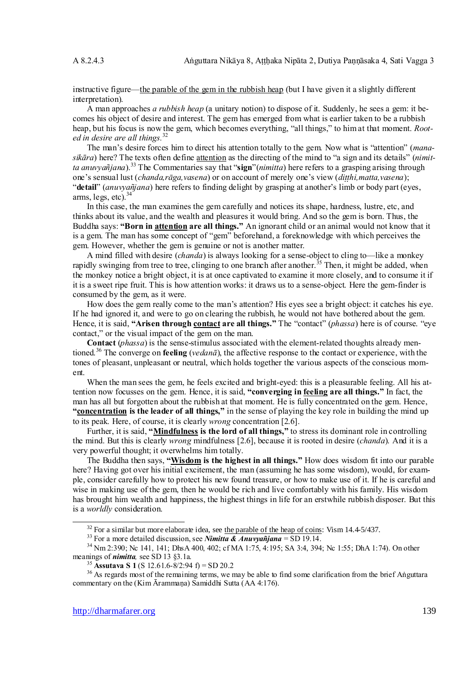instructive figure—the parable of the gem in the rubbish heap (but I have given it a slightly different interpretation).

A man approaches *a rubbish heap* (a unitary notion) to dispose of it. Suddenly, he sees a gem: it becomes his object of desire and interest. The gem has emerged from what is earlier taken to be a rubbish heap, but his focus is now the gem, which becomes everything, "all things," to him at that moment. *Rooted in desire are all things.*<sup>32</sup>

The man's desire forces him to direct his attention totally to the gem. Now what is "attention" (*manasikāra*) here? The texts often define attention as the directing of the mind to "a sign and its details" (*nimitta anuvyañjana*).<sup>33</sup> The Commentaries say that "**sign**"(*nimitta*) here refers to a grasping arising through one's sensual lust (*chanda,rga,vasena*) or on account of merely one's view (*dihi,matta,vasena*); "**detail**" (*anuvyañjana*) here refers to finding delight by grasping at another's limb or body part (eyes, arms, legs, etc). $34$ 

In this case, the man examines the gem carefully and notices its shape, hardness, lustre, etc, and thinks about its value, and the wealth and pleasures it would bring. And so the gem is born. Thus, the Buddha says: **"Born in attention are all things."** An ignorant child or an animal would not know that it is a gem. The man has some concept of "gem" beforehand, a foreknowledge with which perceives the gem. However, whether the gem is genuine or not is another matter.

A mind filled with desire (*chanda*) is always looking for a sense-object to cling to—like a monkey rapidly swinging from tree to tree, clinging to one branch after another.<sup>35</sup> Then, it might be added, when the monkey notice a bright object, it is at once captivated to examine it more closely, and to consume it if it is a sweet ripe fruit. This is how attention works: it draws us to a sense-object. Here the gem-finder is consumed by the gem, as it were.

How does the gem really come to the man's attention? His eyes see a bright object: it catches his eye. If he had ignored it, and were to go on clearing the rubbish, he would not have bothered about the gem. Hence, it is said, **"Arisen through contact are all things."** The "contact" (*phassa*) here is of course. "eye contact," or the visual impact of the gem on the man.

**Contact** (*phassa*) is the sense-stimulus associated with the element-related thoughts already mentioned.<sup>36</sup> The converge on **feeling** (*vedanā*), the affective response to the contact or experience, with the tones of pleasant, unpleasant or neutral, which holds together the various aspects of the conscious moment.

When the man sees the gem, he feels excited and bright-eyed: this is a pleasurable feeling. All his attention now focusses on the gem. Hence, it is said, **"converging in feeling are all things."** In fact, the man has all but forgotten about the rubbish at that moment. He is fully concentrated on the gem. Hence, **"concentration is the leader of all things,"** in the sense of playing the key role in building the mind up to its peak. Here, of course, it is clearly *wrong* concentration [2.6].

Further, it is said, **"Mindfulness is the lord of all things,"** to stress its dominant role in controlling the mind. But this is clearly *wrong* mindfulness [2.6], because it is rooted in desire (*chanda*). And it is a very powerful thought; it overwhelms him totally.

The Buddha then says, **"Wisdom is the highest in all things."** How does wisdom fit into our parable here? Having got over his initial excitement, the man (assuming he has some wisdom), would, for example, consider carefully how to protect his new found treasure, or how to make use of it. If he is careful and wise in making use of the gem, then he would be rich and live comfortably with his family. His wisdom has brought him wealth and happiness, the highest things in life for an erstwhile rubbish disposer. But this is a *worldly* consideration.

 $32$  For a similar but more elaborate idea, see the parable of the heap of coins: Vism 14.4-5/437.

<sup>&</sup>lt;sup>33</sup> For a more detailed discussion, see *Nimitta & Anuvyañjana* = SD 19.14.

<sup>34</sup> Nm 2:390; Nc 141, 141; DhsA 400, 402; cf MA 1:75, 4:195; SA 3:4, 394; Nc 1:55; DhA 1:74). On other meanings of *nimitta,* see SD 13 §3.1a.

<sup>&</sup>lt;sup>35</sup> **Assutava S 1** (S 12.61.6-8/2:94 f) = SD 20.2

<sup>&</sup>lt;sup>36</sup> As regards most of the remaining terms, we may be able to find some clarification from the brief Aṅguttara commentary on the (Kim Ārammaṇa) Samiddhi Sutta (AA 4:176).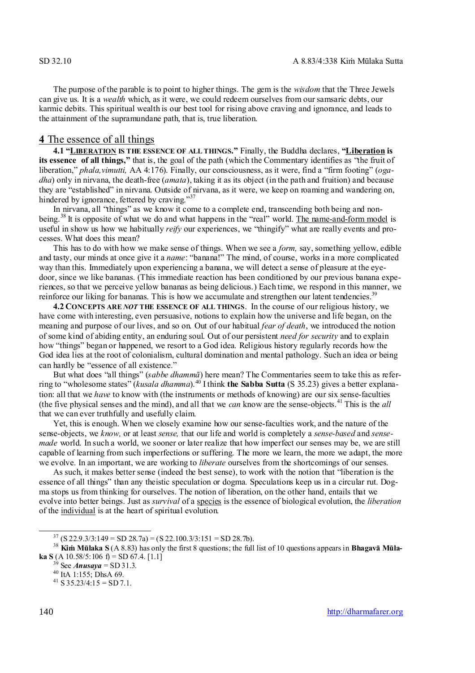The purpose of the parable is to point to higher things. The gem is the *wisdom* that the Three Jewels can give us. It is a *wealth* which, as it were, we could redeem ourselves from our samsaric debts, our karmic debits. This spiritual wealth is our best tool for rising above craving and ignorance, and leads to the attainment of the supramundane path, that is, true liberation.

#### **4** The essence of all things

**4.1 "LIBERATION IS THE ESSENCE OF ALL THINGS."** Finally, the Buddha declares, **"Liberation is its essence of all things,"** that is, the goal of the path (which the Commentary identifies as "the fruit of liberation," *phala,vimutti,* AA 4:176). Finally, our consciousness, as it were, find a "firm footing" (*ogadha*) only in nirvana, the death-free (*amata*), taking it as its object (in the path and fruition) and because they are "established" in nirvana. Outside of nirvana, as it were, we keep on roaming and wandering on, hindered by ignorance, fettered by craving."<sup>37</sup>

In nirvana, all "things" as we know it come to a complete end, transcending both being and nonbeing.<sup>38</sup> It is opposite of what we do and what happens in the "real" world. The name-and-form model is useful in show us how we habitually *reify* our experiences, we "thingify" what are really events and processes. What does this mean?

This has to do with how we make sense of things. When we see a *form,* say, something yellow, edible and tasty, our minds at once give it a *name*: "banana!" The mind, of course, works in a more complicated way than this. Immediately upon experiencing a banana, we will detect a sense of pleasure at the eyedoor, since we like bananas. (This immediate reaction has been conditioned by our previous banana experiences, so that we perceive yellow bananas as being delicious.) Each time, we respond in this manner, we reinforce our liking for bananas. This is how we accumulate and strengthen our latent tendencies.<sup>39</sup>

**4.2 CONCEPTS ARE** *NOT* **THE ESSENCE OF ALL THINGS**. In the course of our religious history, we have come with interesting, even persuasive, notions to explain how the universe and life began, on the meaning and purpose of our lives, and so on. Out of our habitual *fear of death*, we introduced the notion of some kind of abiding entity, an enduring soul. Out of our persistent *need for security* and to explain how "things" began or happened, we resort to a God idea. Religious history regularly records how the God idea lies at the root of colonialism, cultural domination and mental pathology. Such an idea or being can hardly be "essence of all existence."

But what does "all things" (*sabbe dhammā*) here mean? The Commentaries seem to take this as referring to "wholesome states" (*kusala dhamma*).<sup>40</sup> I think **the Sabba Sutta** (S 35.23) gives a better explanation: all that we *have* to know with (the instruments or methods of knowing) are our six sense-faculties (the five physical senses and the mind), and all that we *can* know are the sense-objects.<sup>41</sup> This is the *all* that we can ever truthfully and usefully claim.

Yet, this is enough. When we closely examine how our sense-faculties work, and the nature of the sense-objects, we *know,* or at least *sense,* that our life and world is completely a *sense-based* and *sensemade* world. In such a world, we sooner or later realize that how imperfect our senses may be, we are still capable of learning from such imperfections or suffering. The more we learn, the more we adapt, the more we evolve. In an important, we are working to *liberate* ourselves from the shortcomings of our senses.

As such, it makes better sense (indeed the best sense), to work with the notion that "liberation is the essence of all things" than any theistic speculation or dogma. Speculations keep us in a circular rut. Dogma stops us from thinking for ourselves. The notion of liberation, on the other hand, entails that we evolve into better beings. Just as *survival* of a species is the essence of biological evolution, the *liberation* of the individual is at the heart of spiritual evolution.

 $37$  (S 22.9.3/3:149 = SD 28.7a) = (S 22.100.3/3:151 = SD 28.7b).

<sup>38</sup> **Kiṁ Mūlaka S** (A 8.83) has only the first 8 questions; the full list of 10 questions appears in **Bhagavā Mūlaka S** (A 10.58/5:106 f) = SD 67.4. [1.1]

 $3^{\circ}$  See *Anusaya* = SD 31.3.

<sup>40</sup> ItA 1:155; DhsA 69.

 $^{41}$  S 35.23/4:15 = SD 7.1.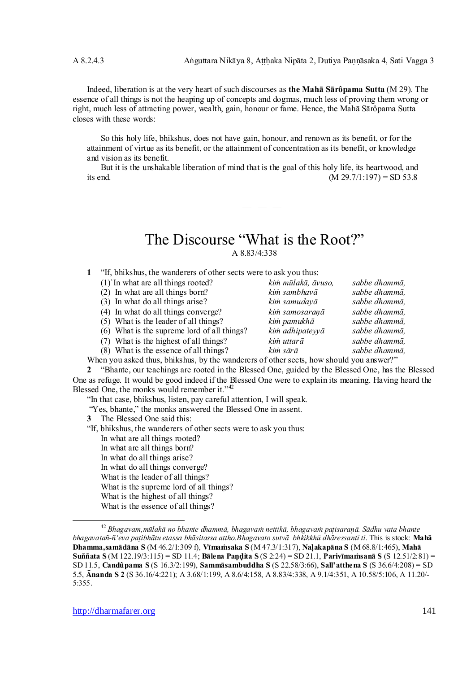Indeed, liberation is at the very heart of such discourses as **the Mahā Sārôpama Sutta** (M 29). The essence of all things is not the heaping up of concepts and dogmas, much less of proving them wrong or right, much less of attracting power, wealth, gain, honour or fame. Hence, the Mahā Sārôpama Sutta closes with these words:

So this holy life, bhikshus, does not have gain, honour, and renown as its benefit, or for the attainment of virtue as its benefit, or the attainment of concentration as its benefit, or knowledge and vision as its benefit.

But it is the unshakable liberation of mind that is the goal of this holy life, its heartwood, and its end. (M  $29.7/1:197$ ) = SD 53.8

# The Discourse "What is the Root?" A 8.83/4:338

 $-$ 

- **1** "If, bhikshus, the wanderers of other sects were to ask you thus:
	- (1)`In what are all things rooted? *kiṁ mūlakā, āvuso, sabbe dhammā,*
	- (2) In what are all things born? *kiṁ sambhavā sabbe dhammā,*
	- (3) In what do all things arise? *kim samudaya*
	- (4) In what do all things converge? *kiṁ samosaraṇā sabbe dhammā,*
	- (5) What is the leader of all things? *kiṁ pamukhā sabbe dhammā,*
	- (6) What is the supreme lord of all things? *kiṁ adhipateyyā sabbe dhammā,*
	- (7) What is the highest of all things? *kiṁ uttarā sabbe dhammā,*
	- (8) What is the essence of all things? *kiṁ sārā sabbe dhammā,*
- When you asked thus, bhikshus, by the wanderers of other sects, how should you answer?"

**2** "Bhante, our teachings are rooted in the Blessed One, guided by the Blessed One, has the Blessed One as refuge. It would be good indeed if the Blessed One were to explain its meaning. Having heard the Blessed One, the monks would remember it."<sup>42</sup>

"In that case, bhikshus, listen, pay careful attention, I will speak.

- "Yes, bhante," the monks answered the Blessed One in assent.
- **3** The Blessed One said this:
- "If, bhikshus, the wanderers of other sects were to ask you thus: In what are all things rooted? In what are all things born? In what do all things arise? In what do all things converge? What is the leader of all things? What is the supreme lord of all things? What is the highest of all things? What is the essence of all things?

<sup>42</sup> *Bhagavam,mlakā no bhante dhammā, bhagava nettikā, bhagava paisaraā. Sādhu vata bhante bhagavata-'eva paibhātu etassa bhāsitassa attho.Bhagavato sutvā bhkikkh dhāressant ti*. This is stock: **Mahā Dhamma,samādāna S** (M 46.2/1:309 f), **Vīmasaka S** (M 47.3/1:317), **Naakapāna S** (M 68.8/1:465), **Mahā Suññata S** (M 122.19/3:115) = SD 11.4; **Bālena Paita S** (S 2:24) = SD 21.1, **Parivīmasanā S** (S 12.51/2:81) = SD 11.5, **Candûpama S** (S 16.3/2:199), **Sammāsambuddha S** (S 22.58/3:66), **Sall'atthena S** (S 36.6/4:208) = SD 5.5, **nanda S 2** (S 36.16/4:221); A 3.68/1:199, A 8.6/4:158, A 8.83/4:338, A 9.1/4:351, A 10.58/5:106, A 11.20/- 5:355.